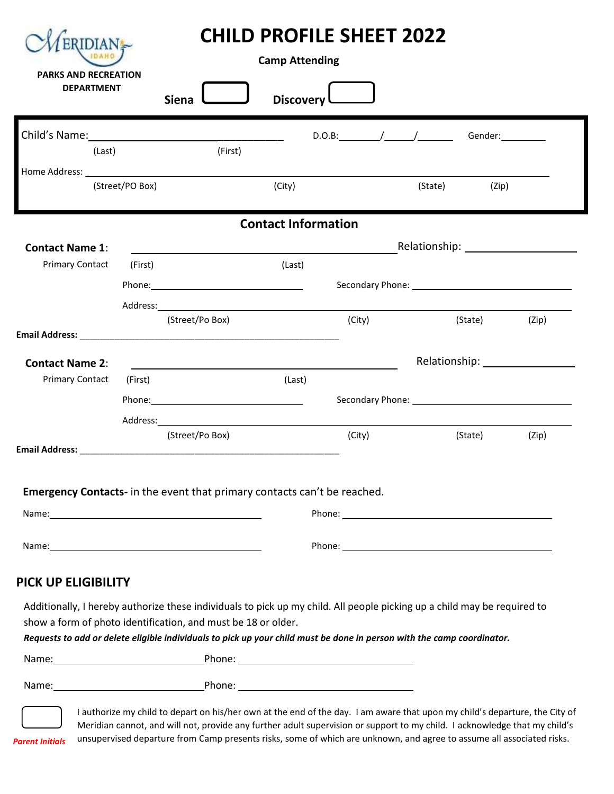| <b>PARKS AND RECREATION</b><br><b>DEPARTMENT</b> |         | Discovery L<br><b>Siena</b>                                                                                                                                                                                                    |                            |            |                                                                                                                          |       |
|--------------------------------------------------|---------|--------------------------------------------------------------------------------------------------------------------------------------------------------------------------------------------------------------------------------|----------------------------|------------|--------------------------------------------------------------------------------------------------------------------------|-------|
|                                                  |         |                                                                                                                                                                                                                                |                            | $D.O.B:\_$ | Gender: _________                                                                                                        |       |
| (Last)                                           |         | (First)                                                                                                                                                                                                                        |                            |            |                                                                                                                          |       |
| (Street/PO Box)                                  |         | (City)                                                                                                                                                                                                                         | (State)<br>(Zip)           |            |                                                                                                                          |       |
|                                                  |         |                                                                                                                                                                                                                                | <b>Contact Information</b> |            |                                                                                                                          |       |
| <b>Contact Name 1:</b>                           |         |                                                                                                                                                                                                                                |                            |            |                                                                                                                          |       |
| <b>Primary Contact</b>                           | (First) |                                                                                                                                                                                                                                | (Last)                     |            |                                                                                                                          |       |
|                                                  |         |                                                                                                                                                                                                                                |                            |            |                                                                                                                          |       |
|                                                  |         | (Street/Po Box)                                                                                                                                                                                                                |                            | (City)     | (State)                                                                                                                  | (Zip) |
|                                                  |         |                                                                                                                                                                                                                                |                            |            |                                                                                                                          |       |
| <b>Contact Name 2:</b>                           |         |                                                                                                                                                                                                                                |                            |            |                                                                                                                          |       |
| <b>Primary Contact</b>                           | (First) |                                                                                                                                                                                                                                | (Last)                     |            |                                                                                                                          |       |
|                                                  |         | Phone: Phone Phone Phone Phone Phone Phone Phone Phone Phone Phone Phone Phone Phone Phone Phone Phone Phone Phone Phone Phone Phone Phone Phone Phone Phone Phone Phone Phone Phone Phone Phone Phone Phone Phone Phone Phone |                            |            |                                                                                                                          |       |
|                                                  |         | Address: the contract of the contract of the contract of the contract of the contract of the contract of the contract of the contract of the contract of the contract of the contract of the contract of the contract of the c |                            |            |                                                                                                                          |       |
|                                                  |         | (Street/Po Box)                                                                                                                                                                                                                |                            | (City)     | (State)                                                                                                                  | (Zip) |
|                                                  |         | Emergency Contacts- in the event that primary contacts can't be reached.                                                                                                                                                       |                            |            |                                                                                                                          |       |
|                                                  |         |                                                                                                                                                                                                                                |                            |            |                                                                                                                          |       |
|                                                  |         |                                                                                                                                                                                                                                |                            |            |                                                                                                                          |       |
|                                                  |         |                                                                                                                                                                                                                                |                            |            | Additionally, I hereby authorize these individuals to pick up my child. All people picking up a child may be required to |       |
| PICK UP ELIGIBILITY                              |         | show a form of photo identification, and must be 18 or older.                                                                                                                                                                  |                            |            | Requests to add or delete eligible individuals to pick up your child must be done in person with the camp coordinator.   |       |
|                                                  |         |                                                                                                                                                                                                                                |                            |            |                                                                                                                          |       |

*Parent Initials*

Meridian cannot, and will not, provide any further adult supervision or support to my child. I acknowledge that my child's unsupervised departure from Camp presents risks, some of which are unknown, and agree to assume all associated risks.